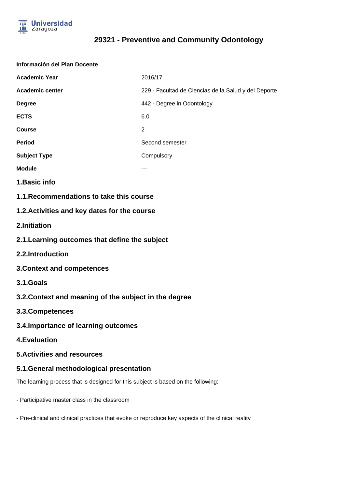

#### **Información del Plan Docente**

| <b>Academic Year</b> | 2016/17                                              |
|----------------------|------------------------------------------------------|
| Academic center      | 229 - Facultad de Ciencias de la Salud y del Deporte |
| <b>Degree</b>        | 442 - Degree in Odontology                           |
| <b>ECTS</b>          | 6.0                                                  |
| <b>Course</b>        | 2                                                    |
| <b>Period</b>        | Second semester                                      |
| <b>Subject Type</b>  | Compulsory                                           |
| <b>Module</b>        | ---                                                  |

- **1.Basic info**
- **1.1.Recommendations to take this course**

## **1.2.Activities and key dates for the course**

- **2.Initiation**
- **2.1.Learning outcomes that define the subject**
- **2.2.Introduction**
- **3.Context and competences**
- **3.1.Goals**
- **3.2.Context and meaning of the subject in the degree**
- **3.3.Competences**
- **3.4.Importance of learning outcomes**
- **4.Evaluation**
- **5.Activities and resources**

## **5.1.General methodological presentation**

The learning process that is designed for this subject is based on the following:

- Participative master class in the classroom
- Pre-clinical and clinical practices that evoke or reproduce key aspects of the clinical reality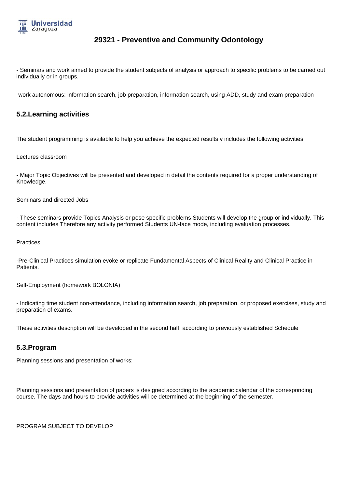

- Seminars and work aimed to provide the student subjects of analysis or approach to specific problems to be carried out individually or in groups.

-work autonomous: information search, job preparation, information search, using ADD, study and exam preparation

## **5.2.Learning activities**

The student programming is available to help you achieve the expected results v includes the following activities:

Lectures classroom

- Major Topic Objectives will be presented and developed in detail the contents required for a proper understanding of Knowledge.

Seminars and directed Jobs

- These seminars provide Topics Analysis or pose specific problems Students will develop the group or individually. This content includes Therefore any activity performed Students UN-face mode, including evaluation processes.

#### **Practices**

-Pre-Clinical Practices simulation evoke or replicate Fundamental Aspects of Clinical Reality and Clinical Practice in Patients.

Self-Employment (homework BOLONIA)

- Indicating time student non-attendance, including information search, job preparation, or proposed exercises, study and preparation of exams.

These activities description will be developed in the second half, according to previously established Schedule

## **5.3.Program**

Planning sessions and presentation of works:

Planning sessions and presentation of papers is designed according to the academic calendar of the corresponding course. The days and hours to provide activities will be determined at the beginning of the semester.

PROGRAM SUBJECT TO DEVELOP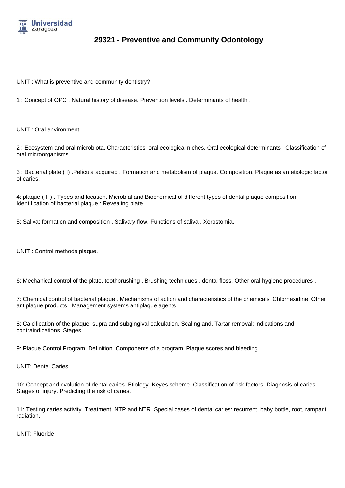

UNIT : What is preventive and community dentistry?

1 : Concept of OPC . Natural history of disease. Prevention levels . Determinants of health .

UNIT : Oral environment.

2 : Ecosystem and oral microbiota. Characteristics. oral ecological niches. Oral ecological determinants . Classification of oral microorganisms.

3 : Bacterial plate ( I) .Película acquired . Formation and metabolism of plaque. Composition. Plaque as an etiologic factor of caries.

4: plaque ( II ) . Types and location. Microbial and Biochemical of different types of dental plaque composition. Identification of bacterial plaque : Revealing plate .

5: Saliva: formation and composition . Salivary flow. Functions of saliva . Xerostomia.

UNIT : Control methods plaque.

6: Mechanical control of the plate. toothbrushing . Brushing techniques . dental floss. Other oral hygiene procedures .

7: Chemical control of bacterial plaque . Mechanisms of action and characteristics of the chemicals. Chlorhexidine. Other antiplaque products . Management systems antiplaque agents .

8: Calcification of the plaque: supra and subgingival calculation. Scaling and. Tartar removal: indications and contraindications. Stages.

9: Plaque Control Program. Definition. Components of a program. Plaque scores and bleeding.

UNIT: Dental Caries

10: Concept and evolution of dental caries. Etiology. Keyes scheme. Classification of risk factors. Diagnosis of caries. Stages of injury. Predicting the risk of caries.

11: Testing caries activity. Treatment: NTP and NTR. Special cases of dental caries: recurrent, baby bottle, root, rampant radiation.

UNIT: Fluoride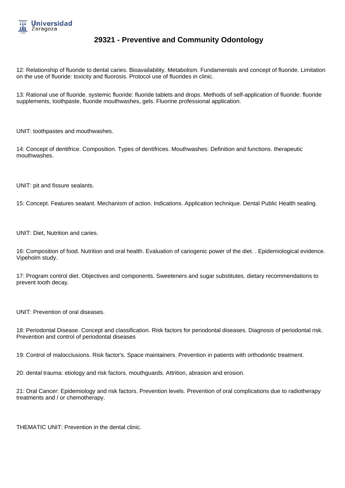

12: Relationship of fluoride to dental caries. Bioavailability. Metabolism. Fundamentals and concept of fluoride. Limitation on the use of fluoride: toxicity and fluorosis. Protocol use of fluorides in clinic.

13: Rational use of fluoride. systemic fluoride: fluoride tablets and drops. Methods of self-application of fluoride: fluoride supplements, toothpaste, fluoride mouthwashes, gels. Fluorine professional application.

UNIT: toothpastes and mouthwashes.

14: Concept of dentifrice. Composition. Types of dentifrices. Mouthwashes: Definition and functions. therapeutic mouthwashes.

UNIT: pit and fissure sealants.

15: Concept. Features sealant. Mechanism of action. Indications. Application technique. Dental Public Health sealing.

UNIT: Diet, Nutrition and caries.

16: Composition of food. Nutrition and oral health. Evaluation of cariogenic power of the diet. . Epidemiological evidence. Vipeholm study.

17: Program control diet. Objectives and components. Sweeteners and sugar substitutes. dietary recommendations to prevent tooth decay.

UNIT: Prevention of oral diseases.

18: Periodontal Disease. Concept and classification. Risk factors for periodontal diseases. Diagnosis of periodontal risk. Prevention and control of periodontal diseases

19: Control of malocclusions. Risk factor's. Space maintainers. Prevention in patients with orthodontic treatment.

20: dental trauma: etiology and risk factors. mouthguards. Attrition, abrasion and erosion.

21: Oral Cancer: Epidemiology and risk factors. Prevention levels. Prevention of oral complications due to radiotherapy treatments and / or chemotherapy.

THEMATIC UNIT: Prevention in the dental clinic.